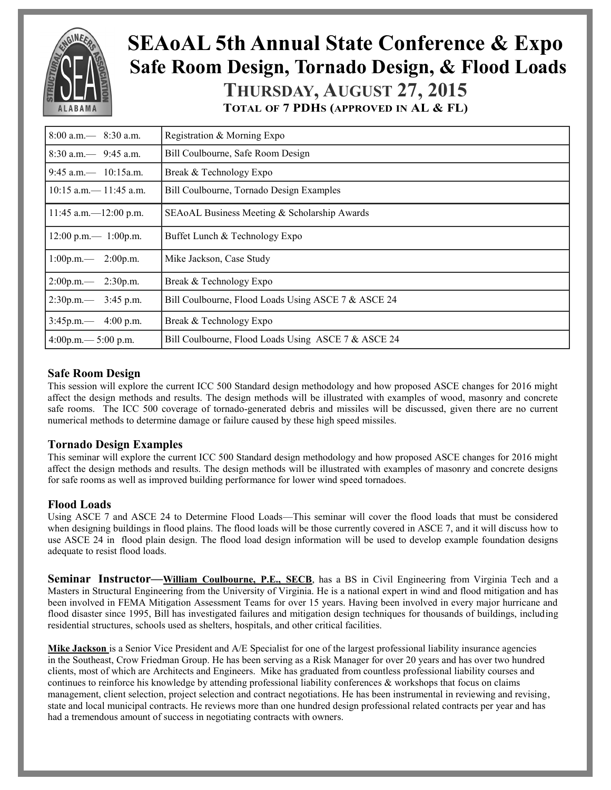

# **SEAoAL 5th Annual State Conference & Expo Safe Room Design, Tornado Design, & Flood Loads THURSDAY, AUGUST 27, 2015**

**TOTAL OF 7 PDHS (APPROVED IN AL & FL)**

| $8:00$ a.m. $-$ 8:30 a.m.                                                     | Registration & Morning Expo                         |  |  |  |
|-------------------------------------------------------------------------------|-----------------------------------------------------|--|--|--|
| $8:30$ a.m. $-$ 9:45 a.m.                                                     | Bill Coulbourne, Safe Room Design                   |  |  |  |
| $9:45$ a.m. $-$ 10:15a.m.                                                     | Break & Technology Expo                             |  |  |  |
| $10:15$ a.m. $- 11:45$ a.m.                                                   | Bill Coulbourne, Tornado Design Examples            |  |  |  |
| $11:45$ a.m. -12:00 p.m.                                                      | SEAOAL Business Meeting & Scholarship Awards        |  |  |  |
| $12:00 \text{ p.m.} - 1:00 \text{ p.m.}$                                      | Buffet Lunch & Technology Expo                      |  |  |  |
| $1:00p.m.$ 2:00p.m.                                                           | Mike Jackson, Case Study                            |  |  |  |
| $2:00p.m. - 2:30p.m.$                                                         | Break & Technology Expo                             |  |  |  |
| $2:30p.m. - 3:45p.m.$                                                         | Bill Coulbourne, Flood Loads Using ASCE 7 & ASCE 24 |  |  |  |
| $3:45p.m. - 4:00 p.m.$                                                        | Break & Technology Expo                             |  |  |  |
| Bill Coulbourne, Flood Loads Using ASCE 7 & ASCE 24<br>$4:00p.m. - 5:00 p.m.$ |                                                     |  |  |  |

### **Safe Room Design**

This session will explore the current ICC 500 Standard design methodology and how proposed ASCE changes for 2016 might affect the design methods and results. The design methods will be illustrated with examples of wood, masonry and concrete safe rooms. The ICC 500 coverage of tornado-generated debris and missiles will be discussed, given there are no current numerical methods to determine damage or failure caused by these high speed missiles.

### **Tornado Design Examples**

This seminar will explore the current ICC 500 Standard design methodology and how proposed ASCE changes for 2016 might affect the design methods and results. The design methods will be illustrated with examples of masonry and concrete designs for safe rooms as well as improved building performance for lower wind speed tornadoes.

#### **Flood Loads**

Using ASCE 7 and ASCE 24 to Determine Flood Loads—This seminar will cover the flood loads that must be considered when designing buildings in flood plains. The flood loads will be those currently covered in ASCE 7, and it will discuss how to use ASCE 24 in flood plain design. The flood load design information will be used to develop example foundation designs adequate to resist flood loads.

**Seminar Instructor—[William Coulbourne, P.E., SECB](http://r20.rs6.net/tn.jsp?f=001V60ss5vlbHYZ4lG2Y8yOcM3t8iifpd5RuWWqkhjWTEENInCzsXMrd-hfpt9F_EE29AXN6V1EsdvEHN0vkvlsBsg2nLIzyDmw2zUXPUnHKX3PM1p0oHS3kzlQX4m_opYLd5scPRTwQDjLFSWtdBNQ2-2IqC4KxD-WF3TeVxAyauwioDeybs0TjfDY9ZCtI1SYFUn1UleT_WeL2Fi94XFgEI7HmBSwVVJ4eYHB)**, has a BS in Civil Engineering from Virginia Tech and a Masters in Structural Engineering from the University of Virginia. He is a national expert in wind and flood mitigation and has been involved in FEMA Mitigation Assessment Teams for over 15 years. Having been involved in every major hurricane and flood disaster since 1995, Bill has investigated failures and mitigation design techniques for thousands of buildings, including residential structures, schools used as shelters, hospitals, and other critical facilities.

**Mike Jackson** is a Senior Vice President and A/E Specialist for one of the largest professional liability insurance agencies in the Southeast, Crow Friedman Group. He has been serving as a Risk Manager for over 20 years and has over two hundred clients, most of which are Architects and Engineers. Mike has graduated from countless professional liability courses and continues to reinforce his knowledge by attending professional liability conferences & workshops that focus on claims management, client selection, project selection and contract negotiations. He has been instrumental in reviewing and revising, state and local municipal contracts. He reviews more than one hundred design professional related contracts per year and has had a tremendous amount of success in negotiating contracts with owners.